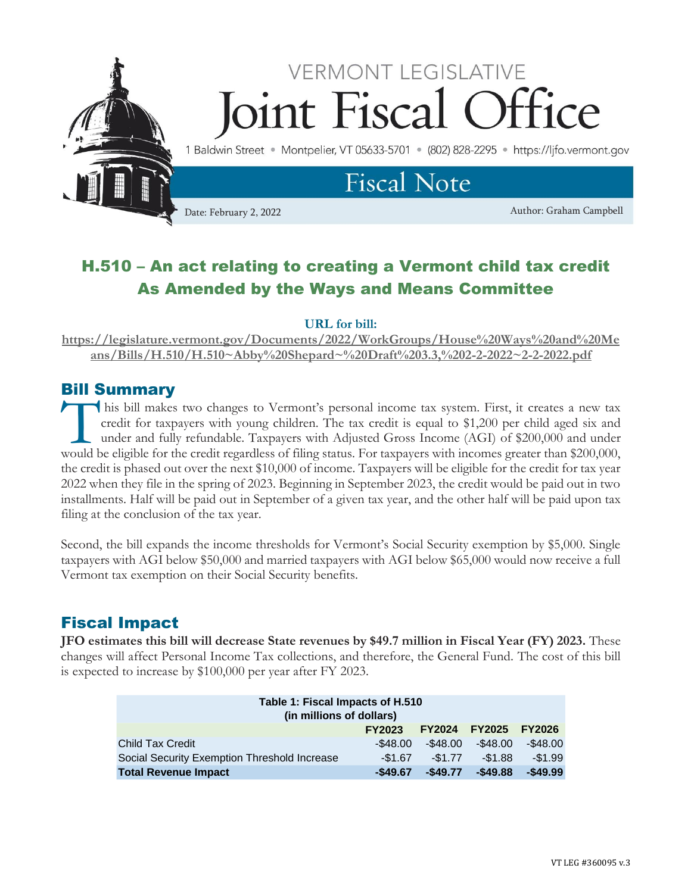

# H.510 – An act relating to creating a Vermont child tax credit As Amended by the Ways and Means Committee

#### **URL for bill:**

**[https://legislature.vermont.gov/Documents/2022/WorkGroups/House%20Ways%20and%20Me](https://legislature.vermont.gov/Documents/2022/WorkGroups/House%20Ways%20and%20Means/Bills/H.510/H.510~Abby%20Shepard~%20Draft%203.3,%202-2-2022~2-2-2022.pdf) [ans/Bills/H.510/H.510~Abby%20Shepard~%20Draft%203.3,%202-2-2022~2-2-2022.pdf](https://legislature.vermont.gov/Documents/2022/WorkGroups/House%20Ways%20and%20Means/Bills/H.510/H.510~Abby%20Shepard~%20Draft%203.3,%202-2-2022~2-2-2022.pdf)**

# Bill Summary

his bill makes two changes to Vermont's personal income tax system. First, it creates a new tax credit for taxpayers with young children. The tax credit is equal to \$1,200 per child aged six and under and fully refundable. Taxpayers with Adjusted Gross Income (AGI) of \$200,000 and under This bill makes two changes to Vermont's personal income tax system. First, it creates a new tax credit for taxpayers with young children. The tax credit is equal to \$1,200 per child aged six and under and fully refundable the credit is phased out over the next \$10,000 of income. Taxpayers will be eligible for the credit for tax year 2022 when they file in the spring of 2023. Beginning in September 2023, the credit would be paid out in two installments. Half will be paid out in September of a given tax year, and the other half will be paid upon tax filing at the conclusion of the tax year.

Second, the bill expands the income thresholds for Vermont's Social Security exemption by \$5,000. Single taxpayers with AGI below \$50,000 and married taxpayers with AGI below \$65,000 would now receive a full Vermont tax exemption on their Social Security benefits.

# Fiscal Impact

**JFO estimates this bill will decrease State revenues by \$49.7 million in Fiscal Year (FY) 2023.** These changes will affect Personal Income Tax collections, and therefore, the General Fund. The cost of this bill is expected to increase by \$100,000 per year after FY 2023.

| Table 1: Fiscal Impacts of H.510<br>(in millions of dollars) |               |               |               |               |  |  |  |
|--------------------------------------------------------------|---------------|---------------|---------------|---------------|--|--|--|
|                                                              | <b>FY2023</b> | <b>FY2024</b> | <b>FY2025</b> | <b>FY2026</b> |  |  |  |
| <b>Child Tax Credit</b>                                      | $-$ \$48.00   | $-$ \$48.00   | $-$ \$48.00   | $-$ \$48.00   |  |  |  |
| Social Security Exemption Threshold Increase                 | $-$1.67$      | $-$1.77$      | $-$1.88$      | $-$1.99$      |  |  |  |
| <b>Total Revenue Impact</b>                                  | $-$49.67$     | $-$ \$49.77   | $-$49.88$     | $-$49.99$     |  |  |  |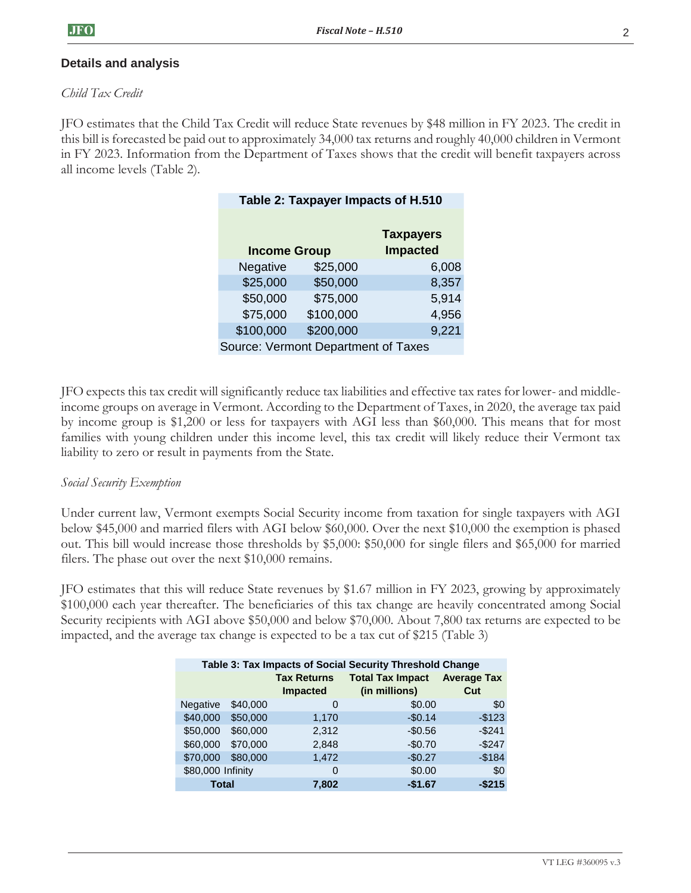## **Details and analysis**

### *Child Tax Credit*

JFO estimates that the Child Tax Credit will reduce State revenues by \$48 million in FY 2023. The credit in this bill is forecasted be paid out to approximately 34,000 tax returns and roughly 40,000 children in Vermont in FY 2023. Information from the Department of Taxes shows that the credit will benefit taxpayers across all income levels (Table 2).

|                     | Table 2: Taxpayer Impacts of H.510  |                  |       |  |  |  |
|---------------------|-------------------------------------|------------------|-------|--|--|--|
|                     |                                     |                  |       |  |  |  |
|                     |                                     | <b>Taxpayers</b> |       |  |  |  |
| <b>Income Group</b> |                                     | <b>Impacted</b>  |       |  |  |  |
|                     | Negative                            | \$25,000         | 6,008 |  |  |  |
|                     | \$25,000                            | \$50,000         | 8,357 |  |  |  |
|                     | \$50,000                            | \$75,000         | 5,914 |  |  |  |
|                     | \$75,000                            | \$100,000        | 4,956 |  |  |  |
|                     | \$100,000                           | \$200,000        | 9,221 |  |  |  |
|                     | Source: Vermont Department of Taxes |                  |       |  |  |  |
|                     |                                     |                  |       |  |  |  |

JFO expects this tax credit will significantly reduce tax liabilities and effective tax rates for lower- and middleincome groups on average in Vermont. According to the Department of Taxes, in 2020, the average tax paid by income group is \$1,200 or less for taxpayers with AGI less than \$60,000. This means that for most families with young children under this income level, this tax credit will likely reduce their Vermont tax liability to zero or result in payments from the State.

### *Social Security Exemption*

Under current law, Vermont exempts Social Security income from taxation for single taxpayers with AGI below \$45,000 and married filers with AGI below \$60,000. Over the next \$10,000 the exemption is phased out. This bill would increase those thresholds by \$5,000: \$50,000 for single filers and \$65,000 for married filers. The phase out over the next \$10,000 remains.

JFO estimates that this will reduce State revenues by \$1.67 million in FY 2023, growing by approximately \$100,000 each year thereafter. The beneficiaries of this tax change are heavily concentrated among Social Security recipients with AGI above \$50,000 and below \$70,000. About 7,800 tax returns are expected to be impacted, and the average tax change is expected to be a tax cut of \$215 (Table 3)

| Table 3: Tax Impacts of Social Security Threshold Change |          |                    |                         |                    |  |  |  |
|----------------------------------------------------------|----------|--------------------|-------------------------|--------------------|--|--|--|
|                                                          |          | <b>Tax Returns</b> | <b>Total Tax Impact</b> | <b>Average Tax</b> |  |  |  |
|                                                          |          | <b>Impacted</b>    | (in millions)           | Cut                |  |  |  |
| <b>Negative</b>                                          | \$40,000 | O                  | \$0.00                  | \$0                |  |  |  |
| \$40,000                                                 | \$50,000 | 1,170              | $-$0.14$                | $-$123$            |  |  |  |
| \$50,000                                                 | \$60,000 | 2.312              | $-$0.56$                | $-$241$            |  |  |  |
| \$60,000                                                 | \$70,000 | 2,848              | $-$0.70$                | $-$247$            |  |  |  |
| \$70,000                                                 | \$80,000 | 1,472              | $-$0.27$                | $-$184$            |  |  |  |
| \$80,000 Infinity                                        |          | 0                  | \$0.00                  | \$0                |  |  |  |
| <b>Total</b>                                             |          | 7,802              | $-$1.67$                | $-$215$            |  |  |  |